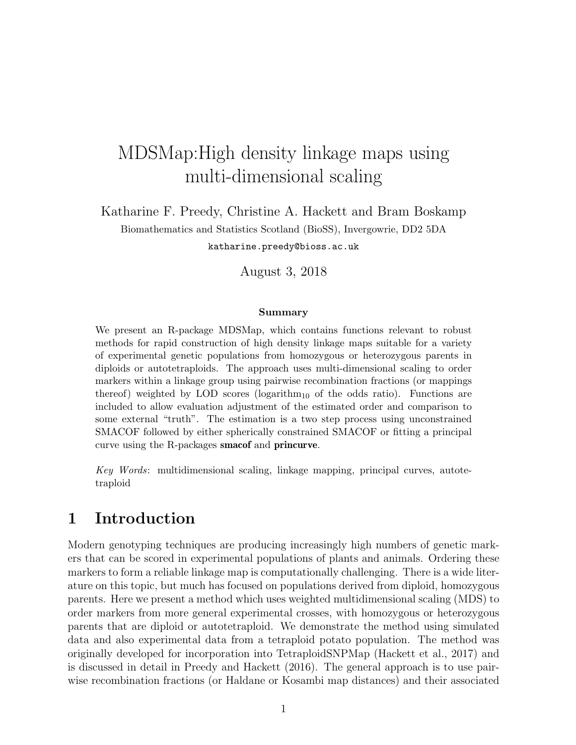# MDSMap:High density linkage maps using multi-dimensional scaling

Katharine F. Preedy, Christine A. Hackett and Bram Boskamp

Biomathematics and Statistics Scotland (BioSS), Invergowrie, DD2 5DA

katharine.preedy@bioss.ac.uk

August 3, 2018

#### Summary

We present an R-package MDSMap, which contains functions relevant to robust methods for rapid construction of high density linkage maps suitable for a variety of experimental genetic populations from homozygous or heterozygous parents in diploids or autotetraploids. The approach uses multi-dimensional scaling to order markers within a linkage group using pairwise recombination fractions (or mappings thereof) weighted by LOD scores ( $logarithm_{10}$  of the odds ratio). Functions are included to allow evaluation adjustment of the estimated order and comparison to some external "truth". The estimation is a two step process using unconstrained SMACOF followed by either spherically constrained SMACOF or fitting a principal curve using the R-packages smacof and princurve.

Key Words: multidimensional scaling, linkage mapping, principal curves, autotetraploid

## 1 Introduction

Modern genotyping techniques are producing increasingly high numbers of genetic markers that can be scored in experimental populations of plants and animals. Ordering these markers to form a reliable linkage map is computationally challenging. There is a wide literature on this topic, but much has focused on populations derived from diploid, homozygous parents. Here we present a method which uses weighted multidimensional scaling (MDS) to order markers from more general experimental crosses, with homozygous or heterozygous parents that are diploid or autotetraploid. We demonstrate the method using simulated data and also experimental data from a tetraploid potato population. The method was originally developed for incorporation into TetraploidSNPMap (Hackett et al., 2017) and is discussed in detail in Preedy and Hackett (2016). The general approach is to use pairwise recombination fractions (or Haldane or Kosambi map distances) and their associated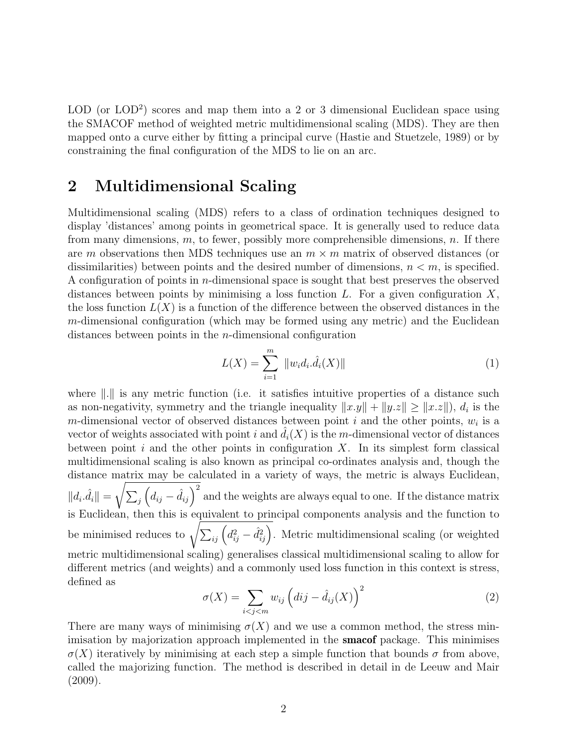LOD (or LOD<sup>2</sup>) scores and map them into a 2 or 3 dimensional Euclidean space using the SMACOF method of weighted metric multidimensional scaling (MDS). They are then mapped onto a curve either by fitting a principal curve (Hastie and Stuetzele, 1989) or by constraining the final configuration of the MDS to lie on an arc.

## 2 Multidimensional Scaling

Multidimensional scaling (MDS) refers to a class of ordination techniques designed to display 'distances' among points in geometrical space. It is generally used to reduce data from many dimensions,  $m$ , to fewer, possibly more comprehensible dimensions,  $n$ . If there are m observations then MDS techniques use an  $m \times m$  matrix of observed distances (or dissimilarities) between points and the desired number of dimensions,  $n < m$ , is specified. A configuration of points in n-dimensional space is sought that best preserves the observed distances between points by minimising a loss function  $L$ . For a given configuration  $X$ , the loss function  $L(X)$  is a function of the difference between the observed distances in the  $m$ -dimensional configuration (which may be formed using any metric) and the Euclidean distances between points in the n-dimensional configuration

$$
L(X) = \sum_{i=1}^{m} \|w_i d_i \cdot \hat{d}_i(X)\|
$$
 (1)

where  $\| \cdot \|$  is any metric function (i.e. it satisfies intuitive properties of a distance such as non-negativity, symmetry and the triangle inequality  $||x.y|| + ||y.z|| \ge ||x.z||$ ,  $d_i$  is the m-dimensional vector of observed distances between point  $i$  and the other points,  $w_i$  is a vector of weights associated with point i and  $\hat{d}_i(X)$  is the m-dimensional vector of distances between point  $i$  and the other points in configuration  $X$ . In its simplest form classical multidimensional scaling is also known as principal co-ordinates analysis and, though the distance matrix may be calculated in a variety of ways, the metric is always Euclidean,  $||d_i \cdot \hat{d_i}|| = \sqrt{\sum_j (d_{ij} - \hat{d}_{ij})^2}$  and the weights are always equal to one. If the distance matrix is Euclidean, then this is equivalent to principal components analysis and the function to be minimised reduces to  $\sqrt{\sum_{ij} (d_{ij}^2 - \hat{d}_{ij}^2)}$ . Metric multidimensional scaling (or weighted metric multidimensional scaling) generalises classical multidimensional scaling to allow for different metrics (and weights) and a commonly used loss function in this context is stress, defined as

$$
\sigma(X) = \sum_{i < j < m} w_{ij} \left( dij - \hat{d}_{ij}(X) \right)^2 \tag{2}
$$

There are many ways of minimising  $\sigma(X)$  and we use a common method, the stress minimisation by majorization approach implemented in the **smacof** package. This minimises  $\sigma(X)$  iteratively by minimising at each step a simple function that bounds  $\sigma$  from above, called the majorizing function. The method is described in detail in de Leeuw and Mair (2009).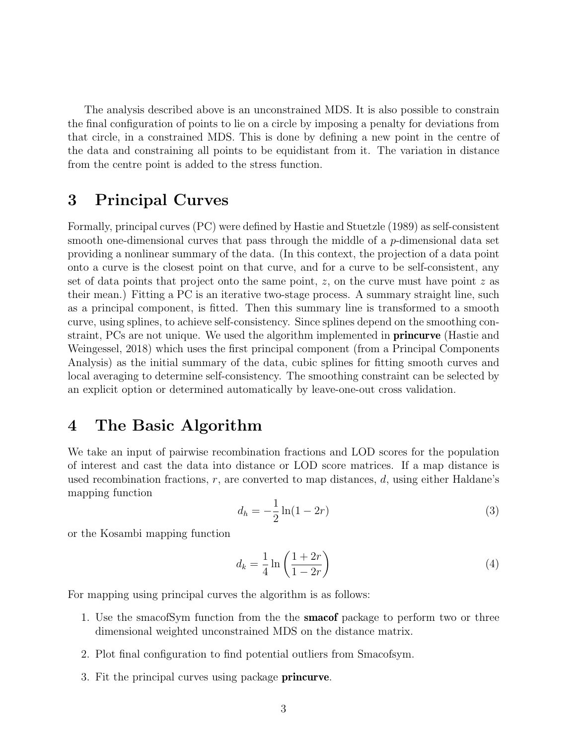The analysis described above is an unconstrained MDS. It is also possible to constrain the final configuration of points to lie on a circle by imposing a penalty for deviations from that circle, in a constrained MDS. This is done by defining a new point in the centre of the data and constraining all points to be equidistant from it. The variation in distance from the centre point is added to the stress function.

## 3 Principal Curves

Formally, principal curves (PC) were defined by Hastie and Stuetzle (1989) as self-consistent smooth one-dimensional curves that pass through the middle of a p-dimensional data set providing a nonlinear summary of the data. (In this context, the projection of a data point onto a curve is the closest point on that curve, and for a curve to be self-consistent, any set of data points that project onto the same point,  $z$ , on the curve must have point  $z$  as their mean.) Fitting a PC is an iterative two-stage process. A summary straight line, such as a principal component, is fitted. Then this summary line is transformed to a smooth curve, using splines, to achieve self-consistency. Since splines depend on the smoothing constraint, PCs are not unique. We used the algorithm implemented in **princurve** (Hastie and Weingessel, 2018) which uses the first principal component (from a Principal Components Analysis) as the initial summary of the data, cubic splines for fitting smooth curves and local averaging to determine self-consistency. The smoothing constraint can be selected by an explicit option or determined automatically by leave-one-out cross validation.

## 4 The Basic Algorithm

We take an input of pairwise recombination fractions and LOD scores for the population of interest and cast the data into distance or LOD score matrices. If a map distance is used recombination fractions,  $r$ , are converted to map distances,  $d$ , using either Haldane's mapping function

$$
d_h = -\frac{1}{2}\ln(1 - 2r) \tag{3}
$$

or the Kosambi mapping function

$$
d_k = \frac{1}{4} \ln \left( \frac{1+2r}{1-2r} \right) \tag{4}
$$

For mapping using principal curves the algorithm is as follows:

- 1. Use the smacofSym function from the the **smacof** package to perform two or three dimensional weighted unconstrained MDS on the distance matrix.
- 2. Plot final configuration to find potential outliers from Smacofsym.
- 3. Fit the principal curves using package princurve.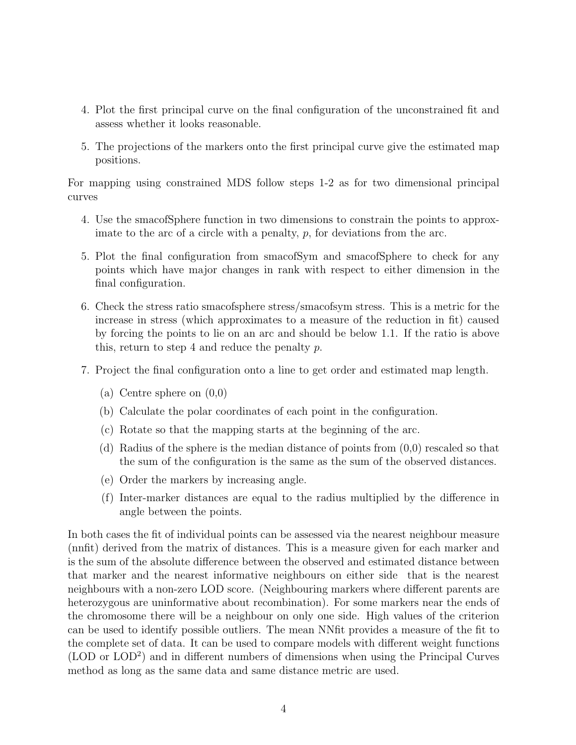- 4. Plot the first principal curve on the final configuration of the unconstrained fit and assess whether it looks reasonable.
- 5. The projections of the markers onto the first principal curve give the estimated map positions.

For mapping using constrained MDS follow steps 1-2 as for two dimensional principal curves

- 4. Use the smacofSphere function in two dimensions to constrain the points to approximate to the arc of a circle with a penalty,  $p$ , for deviations from the arc.
- 5. Plot the final configuration from smacofSym and smacofSphere to check for any points which have major changes in rank with respect to either dimension in the final configuration.
- 6. Check the stress ratio smacofsphere stress/smacofsym stress. This is a metric for the increase in stress (which approximates to a measure of the reduction in fit) caused by forcing the points to lie on an arc and should be below 1.1. If the ratio is above this, return to step 4 and reduce the penalty p.
- 7. Project the final configuration onto a line to get order and estimated map length.
	- (a) Centre sphere on (0,0)
	- (b) Calculate the polar coordinates of each point in the configuration.
	- (c) Rotate so that the mapping starts at the beginning of the arc.
	- (d) Radius of the sphere is the median distance of points from (0,0) rescaled so that the sum of the configuration is the same as the sum of the observed distances.
	- (e) Order the markers by increasing angle.
	- (f) Inter-marker distances are equal to the radius multiplied by the difference in angle between the points.

In both cases the fit of individual points can be assessed via the nearest neighbour measure (nnfit) derived from the matrix of distances. This is a measure given for each marker and is the sum of the absolute difference between the observed and estimated distance between that marker and the nearest informative neighbours on either side that is the nearest neighbours with a non-zero LOD score. (Neighbouring markers where different parents are heterozygous are uninformative about recombination). For some markers near the ends of the chromosome there will be a neighbour on only one side. High values of the criterion can be used to identify possible outliers. The mean NNfit provides a measure of the fit to the complete set of data. It can be used to compare models with different weight functions (LOD or LOD<sup>2</sup> ) and in different numbers of dimensions when using the Principal Curves method as long as the same data and same distance metric are used.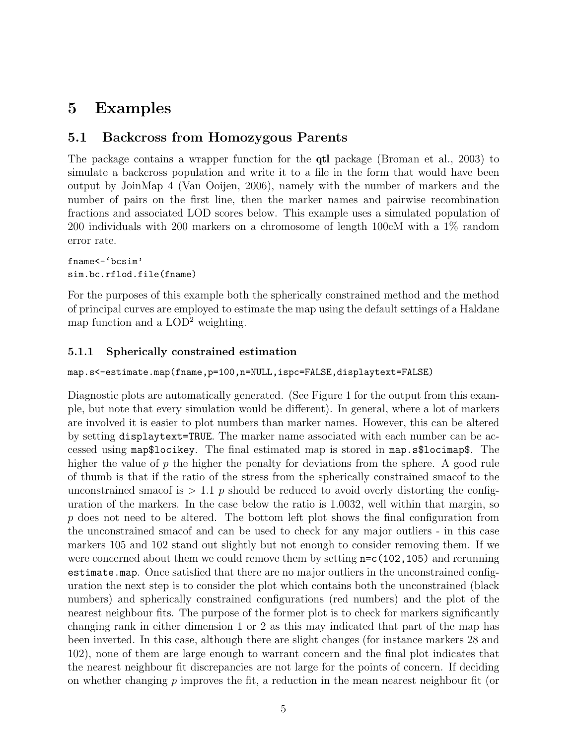## 5 Examples

### 5.1 Backcross from Homozygous Parents

The package contains a wrapper function for the qtl package (Broman et al., 2003) to simulate a backcross population and write it to a file in the form that would have been output by JoinMap 4 (Van Ooijen, 2006), namely with the number of markers and the number of pairs on the first line, then the marker names and pairwise recombination fractions and associated LOD scores below. This example uses a simulated population of 200 individuals with 200 markers on a chromosome of length 100cM with a 1% random error rate.

fname<-'bcsim' sim.bc.rflod.file(fname)

For the purposes of this example both the spherically constrained method and the method of principal curves are employed to estimate the map using the default settings of a Haldane map function and a  $\text{LOD}^2$  weighting.

#### 5.1.1 Spherically constrained estimation

#### map.s<-estimate.map(fname,p=100,n=NULL,ispc=FALSE,displaytext=FALSE)

Diagnostic plots are automatically generated. (See Figure 1 for the output from this example, but note that every simulation would be different). In general, where a lot of markers are involved it is easier to plot numbers than marker names. However, this can be altered by setting displaytext=TRUE. The marker name associated with each number can be accessed using map\$locikey. The final estimated map is stored in map.s\$locimap\$. The higher the value of  $p$  the higher the penalty for deviations from the sphere. A good rule of thumb is that if the ratio of the stress from the spherically constrained smacof to the unconstrained smacof is  $> 1.1$  p should be reduced to avoid overly distorting the configuration of the markers. In the case below the ratio is 1.0032, well within that margin, so p does not need to be altered. The bottom left plot shows the final configuration from the unconstrained smacof and can be used to check for any major outliers - in this case markers 105 and 102 stand out slightly but not enough to consider removing them. If we were concerned about them we could remove them by setting n=c(102,105) and rerunning estimate.map. Once satisfied that there are no major outliers in the unconstrained configuration the next step is to consider the plot which contains both the unconstrained (black numbers) and spherically constrained configurations (red numbers) and the plot of the nearest neighbour fits. The purpose of the former plot is to check for markers significantly changing rank in either dimension 1 or 2 as this may indicated that part of the map has been inverted. In this case, although there are slight changes (for instance markers 28 and 102), none of them are large enough to warrant concern and the final plot indicates that the nearest neighbour fit discrepancies are not large for the points of concern. If deciding on whether changing  $p$  improves the fit, a reduction in the mean nearest neighbour fit (or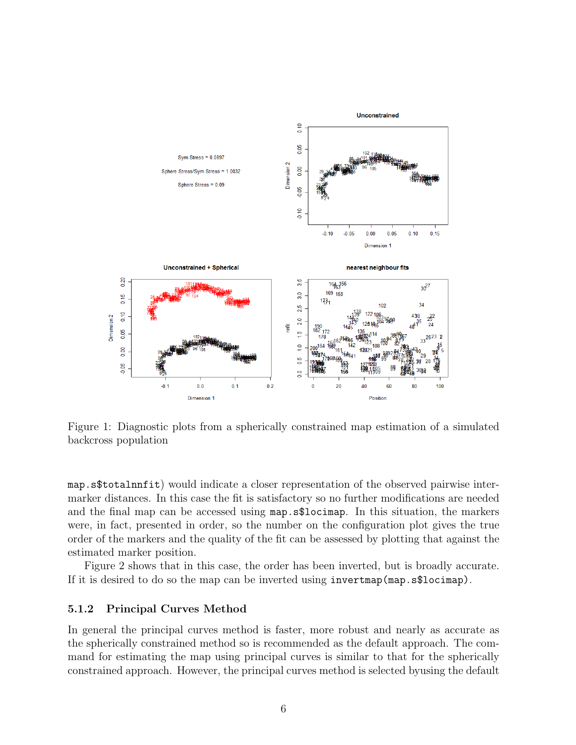

Figure 1: Diagnostic plots from a spherically constrained map estimation of a simulated backcross population

map.s\$totalnnfit) would indicate a closer representation of the observed pairwise intermarker distances. In this case the fit is satisfactory so no further modifications are needed and the final map can be accessed using map.s\$locimap. In this situation, the markers were, in fact, presented in order, so the number on the configuration plot gives the true order of the markers and the quality of the fit can be assessed by plotting that against the estimated marker position.

Figure 2 shows that in this case, the order has been inverted, but is broadly accurate. If it is desired to do so the map can be inverted using invertmap(map.s\$locimap).

#### 5.1.2 Principal Curves Method

In general the principal curves method is faster, more robust and nearly as accurate as the spherically constrained method so is recommended as the default approach. The command for estimating the map using principal curves is similar to that for the spherically constrained approach. However, the principal curves method is selected byusing the default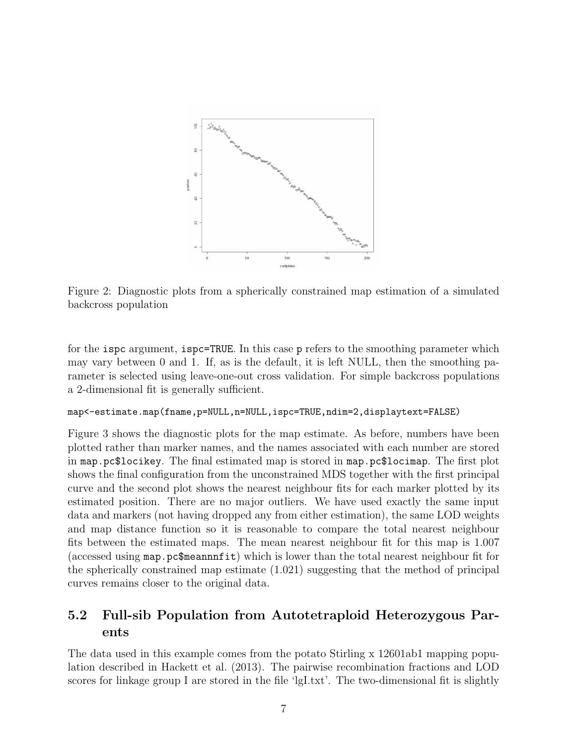

Figure 2: Diagnostic plots from a spherically constrained map estimation of a simulated backcross population

for the ispc argument, ispc=TRUE. In this case p refers to the smoothing parameter which may vary between 0 and 1. If, as is the default, it is left NULL, then the smoothing parameter is selected using leave-one-out cross validation. For simple backcross populations a 2-dimensional fit is generally sufficient.

#### map<-estimate.map(fname,p=NULL,n=NULL,ispc=TRUE,ndim=2,displaytext=FALSE)

Figure 3 shows the diagnostic plots for the map estimate. As before, numbers have been plotted rather than marker names, and the names associated with each number are stored in map.pc\$locikey. The final estimated map is stored in map.pc\$locimap. The first plot shows the final configuration from the unconstrained MDS together with the first principal curve and the second plot shows the nearest neighbour fits for each marker plotted by its estimated position. There are no major outliers. We have used exactly the same input data and markers (not having dropped any from either estimation), the same LOD weights and map distance function so it is reasonable to compare the total nearest neighbour fits between the estimated maps. The mean nearest neighbour fit for this map is 1.007 (accessed using map.pc\$meannnfit) which is lower than the total nearest neighbour fit for the spherically constrained map estimate (1.021) suggesting that the method of principal curves remains closer to the original data.

### 5.2 Full-sib Population from Autotetraploid Heterozygous Parents

The data used in this example comes from the potato Stirling x 12601ab1 mapping population described in Hackett et al. (2013). The pairwise recombination fractions and LOD scores for linkage group I are stored in the file 'lgI.txt'. The two-dimensional fit is slightly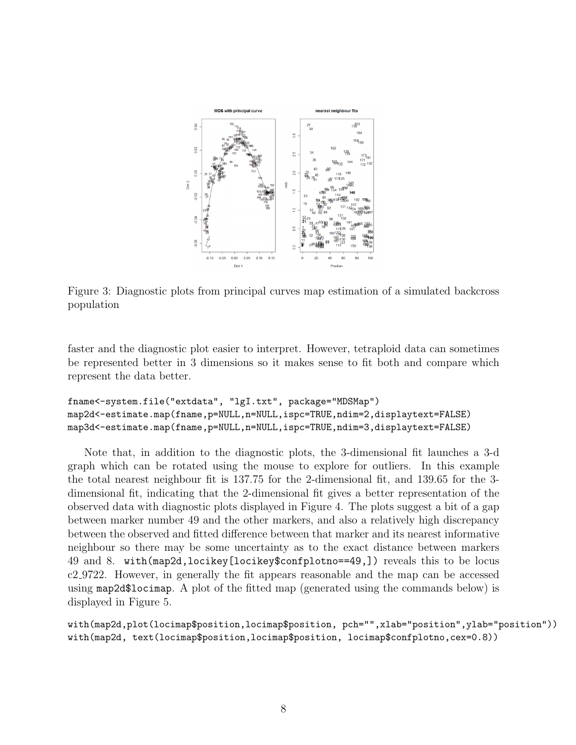

Figure 3: Diagnostic plots from principal curves map estimation of a simulated backcross population

faster and the diagnostic plot easier to interpret. However, tetraploid data can sometimes be represented better in 3 dimensions so it makes sense to fit both and compare which represent the data better.

```
fname<-system.file("extdata", "lgI.txt", package="MDSMap")
map2d<-estimate.map(fname,p=NULL,n=NULL,ispc=TRUE,ndim=2,displaytext=FALSE)
map3d<-estimate.map(fname,p=NULL,n=NULL,ispc=TRUE,ndim=3,displaytext=FALSE)
```
Note that, in addition to the diagnostic plots, the 3-dimensional fit launches a 3-d graph which can be rotated using the mouse to explore for outliers. In this example the total nearest neighbour fit is 137.75 for the 2-dimensional fit, and 139.65 for the 3 dimensional fit, indicating that the 2-dimensional fit gives a better representation of the observed data with diagnostic plots displayed in Figure 4. The plots suggest a bit of a gap between marker number 49 and the other markers, and also a relatively high discrepancy between the observed and fitted difference between that marker and its nearest informative neighbour so there may be some uncertainty as to the exact distance between markers 49 and 8. with(map2d,locikey[locikey\$confplotno==49,]) reveals this to be locus c2 9722. However, in generally the fit appears reasonable and the map can be accessed using map2d\$locimap. A plot of the fitted map (generated using the commands below) is displayed in Figure 5.

```
with(map2d,plot(locimap$position,locimap$position, pch="",xlab="position",ylab="position"))
with(map2d, text(locimap$position,locimap$position, locimap$confplotno,cex=0.8))
```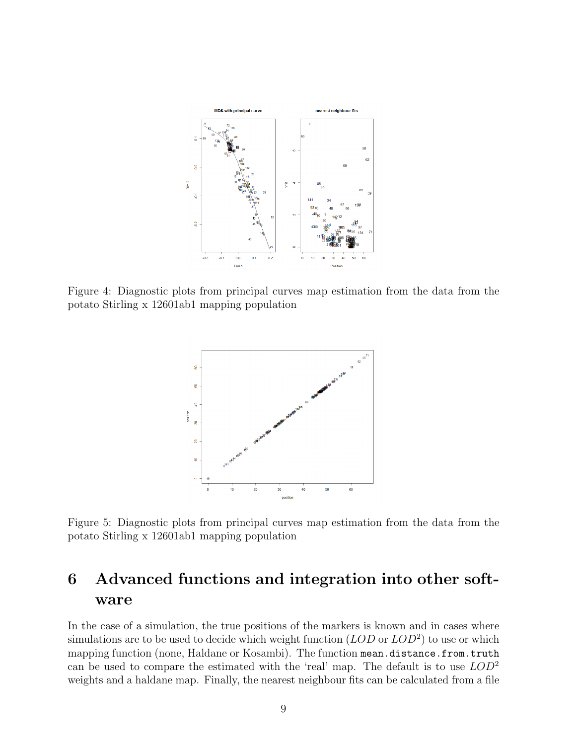

Figure 4: Diagnostic plots from principal curves map estimation from the data from the potato Stirling x 12601ab1 mapping population



Figure 5: Diagnostic plots from principal curves map estimation from the data from the potato Stirling x 12601ab1 mapping population

## 6 Advanced functions and integration into other software

In the case of a simulation, the true positions of the markers is known and in cases where simulations are to be used to decide which weight function  $(LOD \text{ or } LOD^2)$  to use or which mapping function (none, Haldane or Kosambi). The function mean.distance.from.truth can be used to compare the estimated with the 'real' map. The default is to use  $LOD^2$ weights and a haldane map. Finally, the nearest neighbour fits can be calculated from a file